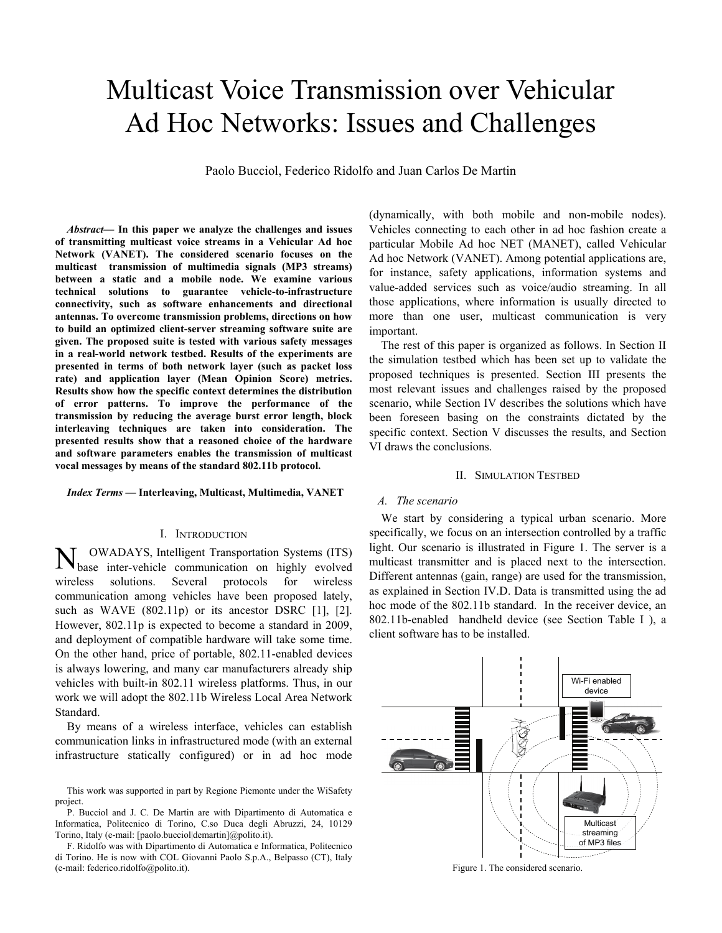# Multicast Voice Transmission over Vehicular Ad Hoc Networks: Issues and Challenges

Paolo Bucciol, Federico Ridolfo and Juan Carlos De Martin

*Abstract***— In this paper we analyze the challenges and issues of transmitting multicast voice streams in a Vehicular Ad hoc Network (VANET). The considered scenario focuses on the multicast transmission of multimedia signals (MP3 streams) between a static and a mobile node. We examine various technical solutions to guarantee vehicle-to-infrastructure connectivity, such as software enhancements and directional antennas. To overcome transmission problems, directions on how to build an optimized client-server streaming software suite are given. The proposed suite is tested with various safety messages in a real-world network testbed. Results of the experiments are presented in terms of both network layer (such as packet loss rate) and application layer (Mean Opinion Score) metrics. Results show how the specific context determines the distribution of error patterns. To improve the performance of the transmission by reducing the average burst error length, block interleaving techniques are taken into consideration. The presented results show that a reasoned choice of the hardware and software parameters enables the transmission of multicast vocal messages by means of the standard 802.11b protocol.** 

*Index Terms* **— Interleaving, Multicast, Multimedia, VANET** 

## I. INTRODUCTION

OWADAYS, Intelligent Transportation Systems (ITS) base inter-vehicle communication on highly evolved wireless solutions. Several protocols for wireless communication among vehicles have been proposed lately, such as WAVE (802.11p) or its ancestor DSRC [1], [2]. However, 802.11p is expected to become a standard in 2009, and deployment of compatible hardware will take some time. On the other hand, price of portable, 802.11-enabled devices is always lowering, and many car manufacturers already ship vehicles with built-in 802.11 wireless platforms. Thus, in our work we will adopt the 802.11b Wireless Local Area Network Standard. N

By means of a wireless interface, vehicles can establish communication links in infrastructured mode (with an external infrastructure statically configured) or in ad hoc mode

This work was supported in part by Regione Piemonte under the WiSafety project.

P. Bucciol and J. C. De Martin are with Dipartimento di Automatica e Informatica, Politecnico di Torino, C.so Duca degli Abruzzi, 24, 10129 Torino, Italy (e-mail: [paolo.bucciol|demartin]@polito.it).

F. Ridolfo was with Dipartimento di Automatica e Informatica, Politecnico di Torino. He is now with COL Giovanni Paolo S.p.A., Belpasso (CT), Italy (e-mail: federico.ridolfo@polito.it).

(dynamically, with both mobile and non-mobile nodes). Vehicles connecting to each other in ad hoc fashion create a particular Mobile Ad hoc NET (MANET), called Vehicular Ad hoc Network (VANET). Among potential applications are, for instance, safety applications, information systems and value-added services such as voice/audio streaming. In all those applications, where information is usually directed to more than one user, multicast communication is very important.

The rest of this paper is organized as follows. In Section II the simulation testbed which has been set up to validate the proposed techniques is presented. Section III presents the most relevant issues and challenges raised by the proposed scenario, while Section IV describes the solutions which have been foreseen basing on the constraints dictated by the specific context. Section V discusses the results, and Section VI draws the conclusions.

#### II. SIMULATION TESTBED

#### *A. The scenario*

We start by considering a typical urban scenario. More specifically, we focus on an intersection controlled by a traffic light. Our scenario is illustrated in Figure 1. The server is a multicast transmitter and is placed next to the intersection. Different antennas (gain, range) are used for the transmission, as explained in Section IV.D. Data is transmitted using the ad hoc mode of the 802.11b standard. In the receiver device, an 802.11b-enabled handheld device (see Section Table I ), a client software has to be installed.



Figure 1. The considered scenario.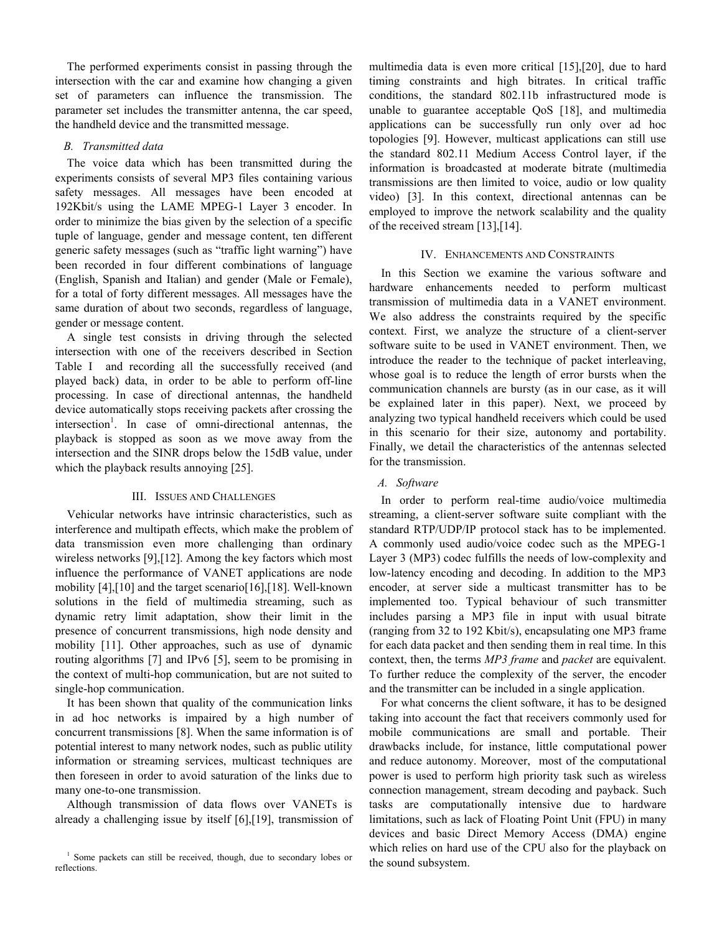The performed experiments consist in passing through the intersection with the car and examine how changing a given set of parameters can influence the transmission. The parameter set includes the transmitter antenna, the car speed, the handheld device and the transmitted message.

# *B. Transmitted data*

The voice data which has been transmitted during the experiments consists of several MP3 files containing various safety messages. All messages have been encoded at 192Kbit/s using the LAME MPEG-1 Layer 3 encoder. In order to minimize the bias given by the selection of a specific tuple of language, gender and message content, ten different generic safety messages (such as "traffic light warning") have been recorded in four different combinations of language (English, Spanish and Italian) and gender (Male or Female), for a total of forty different messages. All messages have the same duration of about two seconds, regardless of language, gender or message content.

A single test consists in driving through the selected intersection with one of the receivers described in Section Table I and recording all the successfully received (and played back) data, in order to be able to perform off-line processing. In case of directional antennas, the handheld device automatically stops receiving packets after crossing the intersection<sup>1</sup>. In case of omni-directional antennas, the playback is stopped as soon as we move away from the intersection and the SINR drops below the 15dB value, under which the playback results annoying [25].

# III. ISSUES AND CHALLENGES

Vehicular networks have intrinsic characteristics, such as interference and multipath effects, which make the problem of data transmission even more challenging than ordinary wireless networks [9],[12]. Among the key factors which most influence the performance of VANET applications are node mobility [4],[10] and the target scenario[16],[18]. Well-known solutions in the field of multimedia streaming, such as dynamic retry limit adaptation, show their limit in the presence of concurrent transmissions, high node density and mobility [11]. Other approaches, such as use of dynamic routing algorithms [7] and IPv6 [5], seem to be promising in the context of multi-hop communication, but are not suited to single-hop communication.

It has been shown that quality of the communication links in ad hoc networks is impaired by a high number of concurrent transmissions [8]. When the same information is of potential interest to many network nodes, such as public utility information or streaming services, multicast techniques are then foreseen in order to avoid saturation of the links due to many one-to-one transmission.

Although transmission of data flows over VANETs is already a challenging issue by itself [6],[19], transmission of multimedia data is even more critical [15],[20], due to hard timing constraints and high bitrates. In critical traffic conditions, the standard 802.11b infrastructured mode is unable to guarantee acceptable QoS [18], and multimedia applications can be successfully run only over ad hoc topologies [9]. However, multicast applications can still use the standard 802.11 Medium Access Control layer, if the information is broadcasted at moderate bitrate (multimedia transmissions are then limited to voice, audio or low quality video) [3]. In this context, directional antennas can be employed to improve the network scalability and the quality of the received stream [13],[14].

#### IV. ENHANCEMENTS AND CONSTRAINTS

In this Section we examine the various software and hardware enhancements needed to perform multicast transmission of multimedia data in a VANET environment. We also address the constraints required by the specific context. First, we analyze the structure of a client-server software suite to be used in VANET environment. Then, we introduce the reader to the technique of packet interleaving, whose goal is to reduce the length of error bursts when the communication channels are bursty (as in our case, as it will be explained later in this paper). Next, we proceed by analyzing two typical handheld receivers which could be used in this scenario for their size, autonomy and portability. Finally, we detail the characteristics of the antennas selected for the transmission.

# *A. Software*

In order to perform real-time audio/voice multimedia streaming, a client-server software suite compliant with the standard RTP/UDP/IP protocol stack has to be implemented. A commonly used audio/voice codec such as the MPEG-1 Layer 3 (MP3) codec fulfills the needs of low-complexity and low-latency encoding and decoding. In addition to the MP3 encoder, at server side a multicast transmitter has to be implemented too. Typical behaviour of such transmitter includes parsing a MP3 file in input with usual bitrate (ranging from 32 to 192 Kbit/s), encapsulating one MP3 frame for each data packet and then sending them in real time. In this context, then, the terms *MP3 frame* and *packet* are equivalent. To further reduce the complexity of the server, the encoder and the transmitter can be included in a single application.

For what concerns the client software, it has to be designed taking into account the fact that receivers commonly used for mobile communications are small and portable. Their drawbacks include, for instance, little computational power and reduce autonomy. Moreover, most of the computational power is used to perform high priority task such as wireless connection management, stream decoding and payback. Such tasks are computationally intensive due to hardware limitations, such as lack of Floating Point Unit (FPU) in many devices and basic Direct Memory Access (DMA) engine which relies on hard use of the CPU also for the playback on the sound subsystem.

<sup>&</sup>lt;sup>1</sup> Some packets can still be received, though, due to secondary lobes or reflections.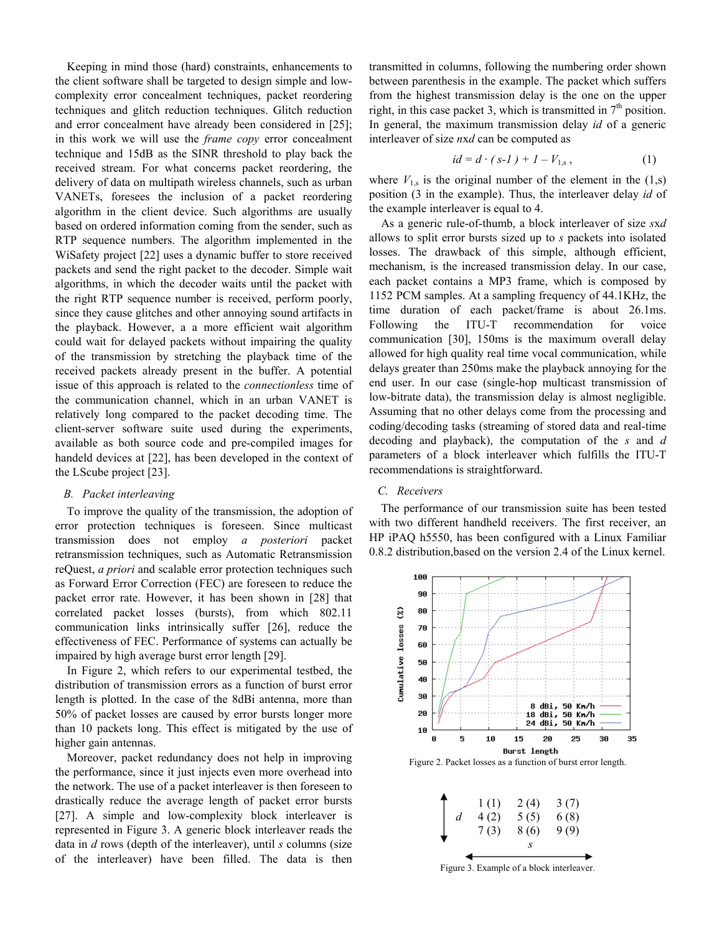Keeping in mind those (hard) constraints, enhancements to the client software shall be targeted to design simple and lowcomplexity error concealment techniques, packet reordering techniques and glitch reduction techniques. Glitch reduction and error concealment have already been considered in [25]; in this work we will use the *frame copy* error concealment technique and 15dB as the SINR threshold to play back the received stream. For what concerns packet reordering, the delivery of data on multipath wireless channels, such as urban VANETs, foresees the inclusion of a packet reordering algorithm in the client device. Such algorithms are usually based on ordered information coming from the sender, such as RTP sequence numbers. The algorithm implemented in the WiSafety project [22] uses a dynamic buffer to store received packets and send the right packet to the decoder. Simple wait algorithms, in which the decoder waits until the packet with the right RTP sequence number is received, perform poorly, since they cause glitches and other annoying sound artifacts in the playback. However, a a more efficient wait algorithm could wait for delayed packets without impairing the quality of the transmission by stretching the playback time of the received packets already present in the buffer. A potential issue of this approach is related to the *connectionless* time of the communication channel, which in an urban VANET is relatively long compared to the packet decoding time. The client-server software suite used during the experiments, available as both source code and pre-compiled images for handeld devices at [22], has been developed in the context of the LScube project [23].

#### *B. Packet interleaving*

To improve the quality of the transmission, the adoption of error protection techniques is foreseen. Since multicast transmission does not employ *a posteriori* packet retransmission techniques, such as Automatic Retransmission reQuest, *a priori* and scalable error protection techniques such as Forward Error Correction (FEC) are foreseen to reduce the packet error rate. However, it has been shown in [28] that correlated packet losses (bursts), from which 802.11 communication links intrinsically suffer [26], reduce the effectiveness of FEC. Performance of systems can actually be impaired by high average burst error length [29].

In Figure 2, which refers to our experimental testbed, the distribution of transmission errors as a function of burst error length is plotted. In the case of the 8dBi antenna, more than 50% of packet losses are caused by error bursts longer more than 10 packets long. This effect is mitigated by the use of higher gain antennas.

Moreover, packet redundancy does not help in improving the performance, since it just injects even more overhead into the network. The use of a packet interleaver is then foreseen to drastically reduce the average length of packet error bursts [27]. A simple and low-complexity block interleaver is represented in Figure 3. A generic block interleaver reads the data in *d* rows (depth of the interleaver), until *s* columns (size of the interleaver) have been filled. The data is then transmitted in columns, following the numbering order shown between parenthesis in the example. The packet which suffers from the highest transmission delay is the one on the upper right, in this case packet 3, which is transmitted in  $7<sup>th</sup>$  position. In general, the maximum transmission delay *id* of a generic interleaver of size *n*x*d* can be computed as

$$
id = d \cdot (s-1) + 1 - V_{1,s}, \tag{1}
$$

where  $V_{1,s}$  is the original number of the element in the  $(1,s)$ position (3 in the example). Thus, the interleaver delay *id* of the example interleaver is equal to 4.

As a generic rule-of-thumb, a block interleaver of size *s*x*d* allows to split error bursts sized up to *s* packets into isolated losses. The drawback of this simple, although efficient, mechanism, is the increased transmission delay. In our case, each packet contains a MP3 frame, which is composed by 1152 PCM samples. At a sampling frequency of 44.1KHz, the time duration of each packet/frame is about 26.1ms. Following the ITU-T recommendation for voice communication [30], 150ms is the maximum overall delay allowed for high quality real time vocal communication, while delays greater than 250ms make the playback annoying for the end user. In our case (single-hop multicast transmission of low-bitrate data), the transmission delay is almost negligible. Assuming that no other delays come from the processing and coding/decoding tasks (streaming of stored data and real-time decoding and playback), the computation of the *s* and *d*  parameters of a block interleaver which fulfills the ITU-T recommendations is straightforward.

## *C. Receivers*

The performance of our transmission suite has been tested with two different handheld receivers. The first receiver, an HP iPAQ h5550, has been configured with a Linux Familiar 0.8.2 distribution,based on the version 2.4 of the Linux kernel.



Figure 2. Packet losses as a function of burst error length.



Figure 3. Example of a block interleaver.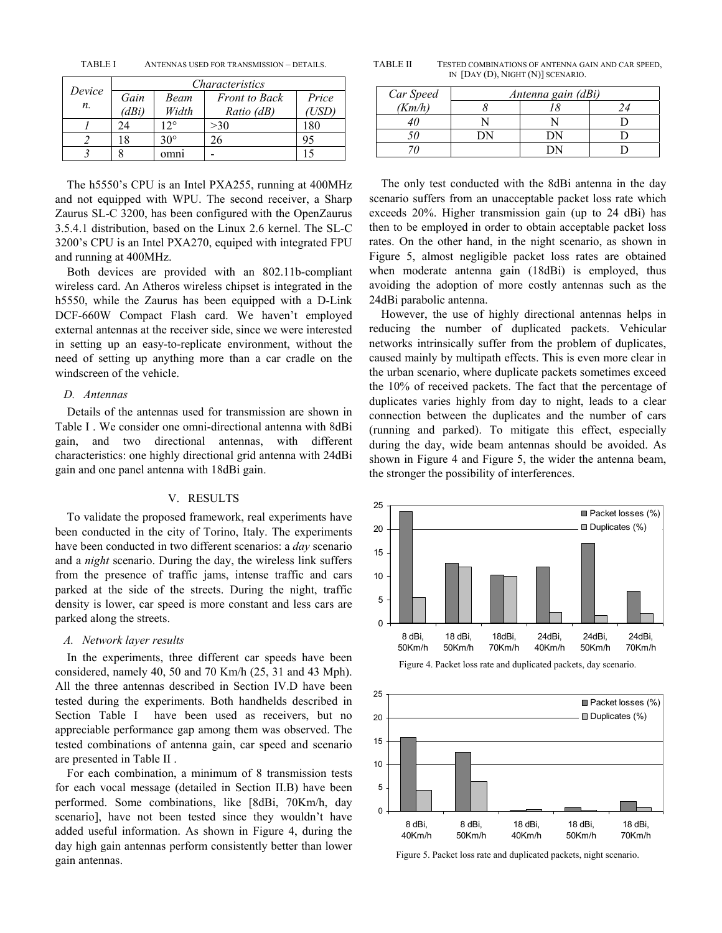TABLE I ANTENNAS USED FOR TRANSMISSION – DETAILS.

| <i>Device</i><br>п. | <i>Characteristics</i> |            |                      |       |  |
|---------------------|------------------------|------------|----------------------|-------|--|
|                     | Gain                   | Beam       | <b>Front</b> to Back | Price |  |
|                     | (dBi)                  | Width      | Ratio (dB)           | USD)  |  |
|                     | 24                     | 12°        | >30                  | 180   |  |
|                     | 18                     | $30^\circ$ |                      | 95    |  |
|                     |                        | omni       |                      |       |  |

The h5550's CPU is an Intel PXA255, running at 400MHz and not equipped with WPU. The second receiver, a Sharp Zaurus SL-C 3200, has been configured with the OpenZaurus 3.5.4.1 distribution, based on the Linux 2.6 kernel. The SL-C 3200's CPU is an Intel PXA270, equiped with integrated FPU and running at 400MHz.

Both devices are provided with an 802.11b-compliant wireless card. An Atheros wireless chipset is integrated in the h5550, while the Zaurus has been equipped with a D-Link DCF-660W Compact Flash card. We haven't employed external antennas at the receiver side, since we were interested in setting up an easy-to-replicate environment, without the need of setting up anything more than a car cradle on the windscreen of the vehicle.

## *D. Antennas*

Details of the antennas used for transmission are shown in Table I . We consider one omni-directional antenna with 8dBi gain, and two directional antennas, with different characteristics: one highly directional grid antenna with 24dBi gain and one panel antenna with 18dBi gain.

## V. RESULTS

To validate the proposed framework, real experiments have been conducted in the city of Torino, Italy. The experiments have been conducted in two different scenarios: a *day* scenario and a *night* scenario. During the day, the wireless link suffers from the presence of traffic jams, intense traffic and cars parked at the side of the streets. During the night, traffic density is lower, car speed is more constant and less cars are parked along the streets.

## *A. Network layer results*

In the experiments, three different car speeds have been considered, namely 40, 50 and 70 Km/h (25, 31 and 43 Mph). All the three antennas described in Section IV.D have been tested during the experiments. Both handhelds described in Section Table I have been used as receivers, but no appreciable performance gap among them was observed. The tested combinations of antenna gain, car speed and scenario are presented in Table II .

For each combination, a minimum of 8 transmission tests for each vocal message (detailed in Section II.B) have been performed. Some combinations, like [8dBi, 70Km/h, day scenario], have not been tested since they wouldn't have added useful information. As shown in Figure 4, during the day high gain antennas perform consistently better than lower gain antennas.

TABLE II TESTED COMBINATIONS OF ANTENNA GAIN AND CAR SPEED, IN [DAY (D), NIGHT (N)] SCENARIO.

| Car Speed | Antenna gain (dBi) |               |  |  |
|-----------|--------------------|---------------|--|--|
| (Km/h)    |                    |               |  |  |
|           |                    |               |  |  |
|           | DN                 | $^{\prime}$ N |  |  |
|           |                    |               |  |  |

The only test conducted with the 8dBi antenna in the day scenario suffers from an unacceptable packet loss rate which exceeds 20%. Higher transmission gain (up to 24 dBi) has then to be employed in order to obtain acceptable packet loss rates. On the other hand, in the night scenario, as shown in Figure 5, almost negligible packet loss rates are obtained when moderate antenna gain (18dBi) is employed, thus avoiding the adoption of more costly antennas such as the 24dBi parabolic antenna.

However, the use of highly directional antennas helps in reducing the number of duplicated packets. Vehicular networks intrinsically suffer from the problem of duplicates, caused mainly by multipath effects. This is even more clear in the urban scenario, where duplicate packets sometimes exceed the 10% of received packets. The fact that the percentage of duplicates varies highly from day to night, leads to a clear connection between the duplicates and the number of cars (running and parked). To mitigate this effect, especially during the day, wide beam antennas should be avoided. As shown in Figure 4 and Figure 5, the wider the antenna beam, the stronger the possibility of interferences.



Figure 4. Packet loss rate and duplicated packets, day scenario.



Figure 5. Packet loss rate and duplicated packets, night scenario.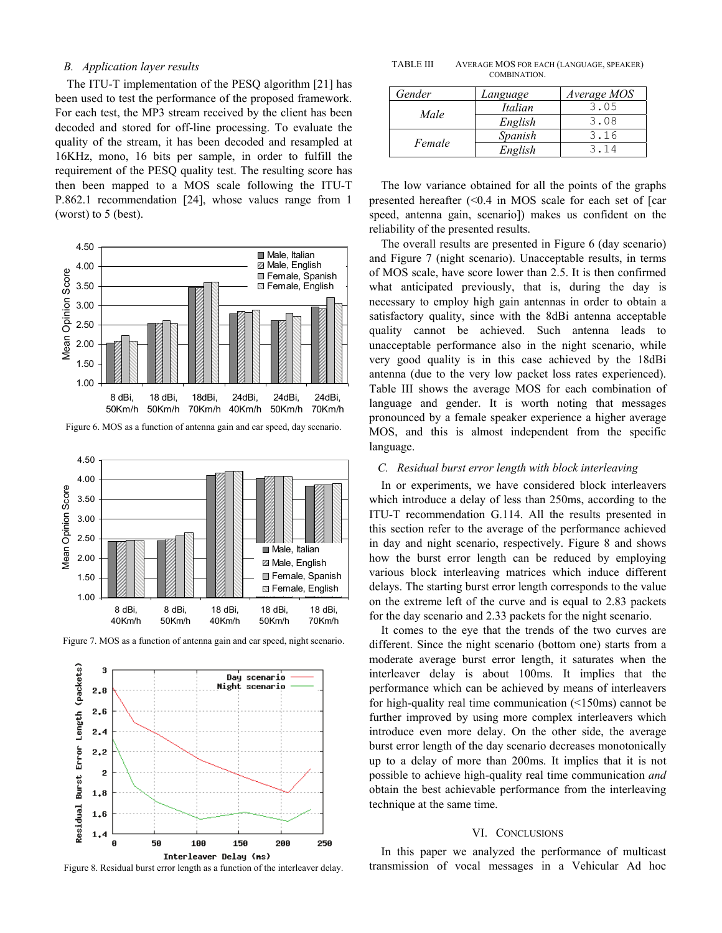# *B. Application layer results*

The ITU-T implementation of the PESQ algorithm [21] has been used to test the performance of the proposed framework. For each test, the MP3 stream received by the client has been decoded and stored for off-line processing. To evaluate the quality of the stream, it has been decoded and resampled at 16KHz, mono, 16 bits per sample, in order to fulfill the requirement of the PESQ quality test. The resulting score has then been mapped to a MOS scale following the ITU-T P.862.1 recommendation [24], whose values range from 1 (worst) to 5 (best).



Figure 6. MOS as a function of antenna gain and car speed, day scenario.



Figure 7. MOS as a function of antenna gain and car speed, night scenario.



Figure 8. Residual burst error length as a function of the interleaver delay.

TABLE III AVERAGE MOS FOR EACH (LANGUAGE, SPEAKER) COMBINATION.

| Gender | Language | Average MOS |
|--------|----------|-------------|
|        | Italian  | 3.05        |
| Male   | English  | 3.08        |
| Female | Spanish  | 3.16        |
|        | English  | 314         |

The low variance obtained for all the points of the graphs presented hereafter (<0.4 in MOS scale for each set of [car speed, antenna gain, scenario]) makes us confident on the reliability of the presented results.

The overall results are presented in Figure 6 (day scenario) and Figure 7 (night scenario). Unacceptable results, in terms of MOS scale, have score lower than 2.5. It is then confirmed what anticipated previously, that is, during the day is necessary to employ high gain antennas in order to obtain a satisfactory quality, since with the 8dBi antenna acceptable quality cannot be achieved. Such antenna leads to unacceptable performance also in the night scenario, while very good quality is in this case achieved by the 18dBi antenna (due to the very low packet loss rates experienced). Table III shows the average MOS for each combination of language and gender. It is worth noting that messages pronounced by a female speaker experience a higher average MOS, and this is almost independent from the specific language.

#### *C. Residual burst error length with block interleaving*

In or experiments, we have considered block interleavers which introduce a delay of less than 250ms, according to the ITU-T recommendation G.114. All the results presented in this section refer to the average of the performance achieved in day and night scenario, respectively. Figure 8 and shows how the burst error length can be reduced by employing various block interleaving matrices which induce different delays. The starting burst error length corresponds to the value on the extreme left of the curve and is equal to 2.83 packets for the day scenario and 2.33 packets for the night scenario.

It comes to the eye that the trends of the two curves are different. Since the night scenario (bottom one) starts from a moderate average burst error length, it saturates when the interleaver delay is about 100ms. It implies that the performance which can be achieved by means of interleavers for high-quality real time communication (<150ms) cannot be further improved by using more complex interleavers which introduce even more delay. On the other side, the average burst error length of the day scenario decreases monotonically up to a delay of more than 200ms. It implies that it is not possible to achieve high-quality real time communication *and* obtain the best achievable performance from the interleaving technique at the same time.

#### VI. CONCLUSIONS

In this paper we analyzed the performance of multicast transmission of vocal messages in a Vehicular Ad hoc